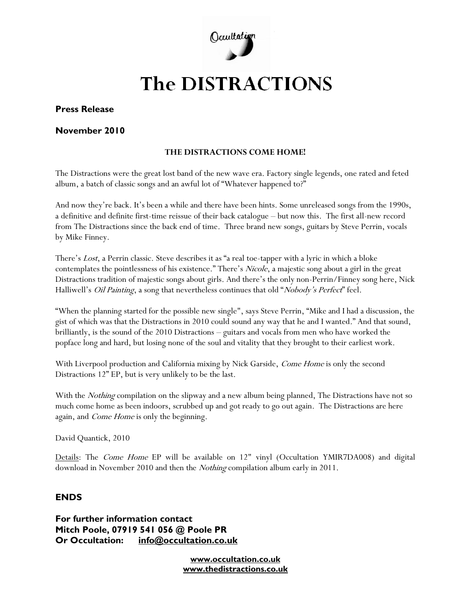

# **The DISTRACTIONS**

### **Press Release**

#### **November 2010**

#### **THE DISTRACTIONS COME HOME!**

The Distractions were the great lost band of the new wave era. Factory single legends, one rated and feted album, a batch of classic songs and an awful lot of "Whatever happened to?"

And now they're back. It's been a while and there have been hints. Some unreleased songs from the 1990s, a definitive and definite first-time reissue of their back catalogue – but now this. The first all-new record from The Distractions since the back end of time. Three brand new songs, guitars by Steve Perrin, vocals by Mike Finney.

There's Lost, a Perrin classic. Steve describes it as "a real toe-tapper with a lyric in which a bloke contemplates the pointlessness of his existence." There's Nicole, a majestic song about a girl in the great Distractions tradition of majestic songs about girls. And there's the only non-Perrin/Finney song here, Nick Halliwell's *Oil Painting*, a song that nevertheless continues that old "*Nobody's Perfect*" feel.

"When the planning started for the possible new single", says Steve Perrin, "Mike and I had a discussion, the gist of which was that the Distractions in 2010 could sound any way that he and I wanted." And that sound, brilliantly, is the sound of the 2010 Distractions – guitars and vocals from men who have worked the popface long and hard, but losing none of the soul and vitality that they brought to their earliest work.

With Liverpool production and California mixing by Nick Garside, Come Home is only the second Distractions 12" EP, but is very unlikely to be the last.

With the *Nothing* compilation on the slipway and a new album being planned, The Distractions have not so much come home as been indoors, scrubbed up and got ready to go out again. The Distractions are here again, and *Come Home* is only the beginning.

David Quantick, 2010

Details: The *Come Home* EP will be available on 12" vinyl (Occultation YMIR7DA008) and digital download in November 2010 and then the Nothing compilation album early in 2011.

## **ENDS**

**For further information contact Mitch Poole, 07919 541 056 @ Poole PR Or Occultation: [info@occultation.co.uk](mailto:info@occultation.co.uk)**

> **www.occultation.co.uk www.thedistractions.co.uk**